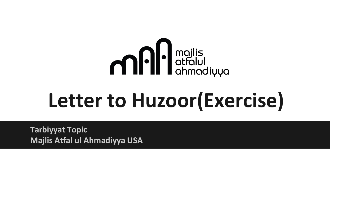

#### **Letter to Huzoor(Exercise)**

**Tarbiyyat Topic Majlis Atfal ul Ahmadiyya USA**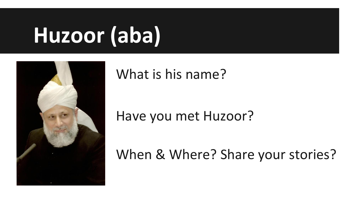## **Huzoor (aba)**



What is his name?

#### Have you met Huzoor?

When & Where? Share your stories?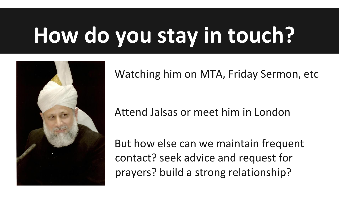# **How do you stay in touch?**



Watching him on MTA, Friday Sermon, etc

Attend Jalsas or meet him in London

But how else can we maintain frequent contact? seek advice and request for prayers? build a strong relationship?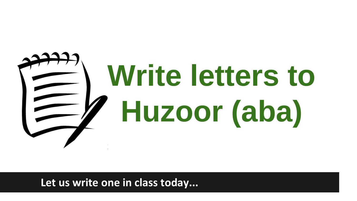# **Write letters to Huzoor (aba)**

**Let us write one in class today...**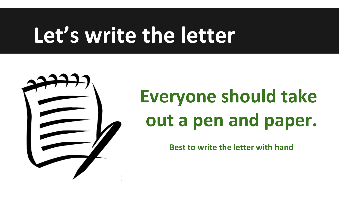#### **Let's write the letter**



#### **Everyone should take out a pen and paper.**

**Best to write the letter with hand**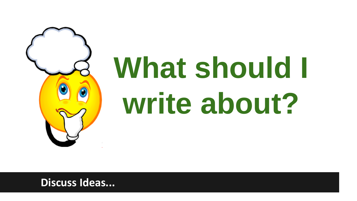

# **What should I write about?**

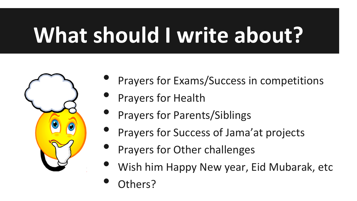# **What should I write about?**



- Prayers for Exams/Success in competitions
- Prayers for Health
- Prayers for Parents/Siblings
- Prayers for Success of Jama'at projects
- Prayers for Other challenges
- Wish him Happy New year, Eid Mubarak, etc
- Others?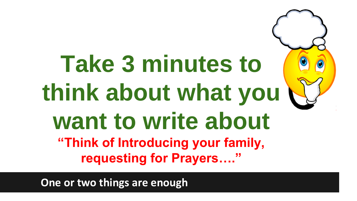#### **Take 3 minutes to think about what you want to write about "Think of Introducing your family, requesting for Prayers…."**

**One or two things are enough**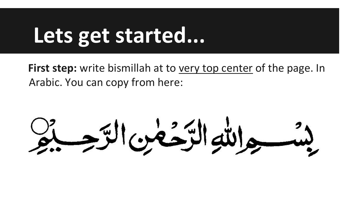#### **Lets get started...**

First step: write bismillah at to very top center of the page. In Arabic. You can copy from here:

جرالله الرَحْمٰنِ الرَّحِ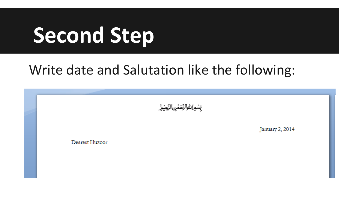#### **Second Step**

#### Write date and Salutation like the following:

بسوانتوالزخمن الزجير

January 2, 2014

Dearest Huzoor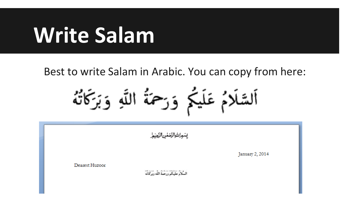#### **Write Salam**

Best to write Salam in Arabic. You can copy from here:

اَلسَّلَامُ عَلَيْكُمْ وَرَحْمَةُ اللَّهِ وَبَرَكَاتُهُ

بسماسوالزخمن الزجير January 2, 2014 Dearest Huzoor السُّلاَمُ عَلَيْكُمْ وَرَحْمَةُ اللَّه وَبَرَكَاتُهُ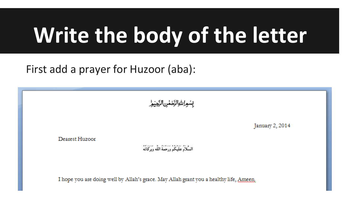#### **Write the body of the letter**

First add a prayer for Huzoor (aba):

بسمانتوالزخمن الزجيمر

January 2, 2014

Dearest Huzoor

السُّلاَمُ عَلَيْكُمْ وَرَحْمَةُ اللَّهِ وَبَرَكَاتُهُ

I hope you are doing well by Allah's grace. May Allah grant you a healthy life, Ameen.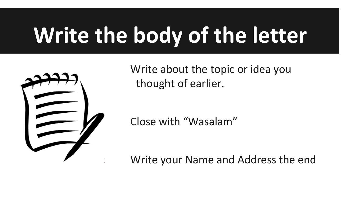## **Write the body of the letter**



Write about the topic or idea you thought of earlier.

Close with "Wasalam"

Write your Name and Address the end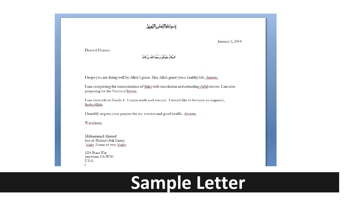#### بشواشوالزخمن الزجيور

January 2, 2014

Dearest Huzoor

السَّلاَءُ عَلَيْكُمْ وَرَحْمَةُ اللَّهُ وَيَرْكَانُهُ

I hope you are doing well by Allah's grace. May Allah grant you a healthy life, Ameen.

I am completing the memorization of Salat with translation and attending Atfal classes. I am also preparing for the National Ijtema.

I am currently in Grade 4. I enjoy math and science. I would like to become an engineer, InshaAllah.

I humbly request your prayers for my success and good health. Ameen.

Wasalaam,

Muhammad Ahmad Son of (Father's Full Name) Majlis (Name of your Majlis)

1234 Peace Way Anywhere, CA 98765 U.S.A.

#### **Sample Letter**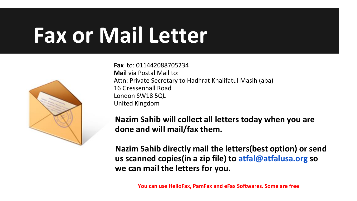#### **Fax or Mail Letter**



**Fax** to: 011442088705234 **Mail** via Postal Mail to: Attn: Private Secretary to Hadhrat Khalifatul Masih (aba) 16 Gressenhall Road London SW18 5QL United Kingdom

**Nazim Sahib will collect all letters today when you are done and will mail/fax them.**

**Nazim Sahib directly mail the letters(best option) or send us scanned copies(in a zip file) to atfal@atfalusa.org so we can mail the letters for you.**

**You can use HelloFax, PamFax and eFax Softwares. Some are free**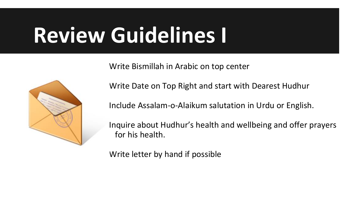#### **Review Guidelines I**

Write Bismillah in Arabic on top center



Write Date on Top Right and start with Dearest Hudhur

Include Assalam-o-Alaikum salutation in Urdu or English.

Inquire about Hudhur's health and wellbeing and offer prayers for his health.

Write letter by hand if possible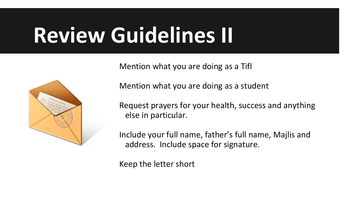#### **Review Guidelines II**

Mention what you are doing as a Tifl



Mention what you are doing as a student

Request prayers for your health, success and anything else in particular.

Include your full name, father's full name, Majlis and address. Include space for signature.

Keep the letter short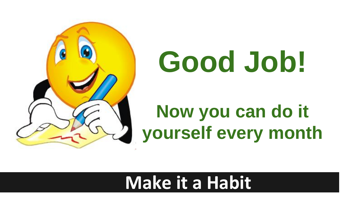

# **Good Job!**

#### **Now you can do it yourself every month**

#### **Make it a Habit**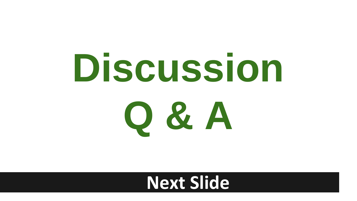

#### **Next Slide**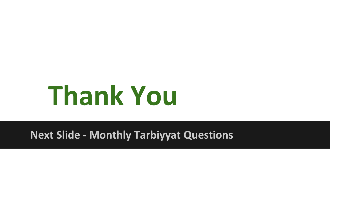# **Thank You**

**Next Slide - Monthly Tarbiyyat Questions**